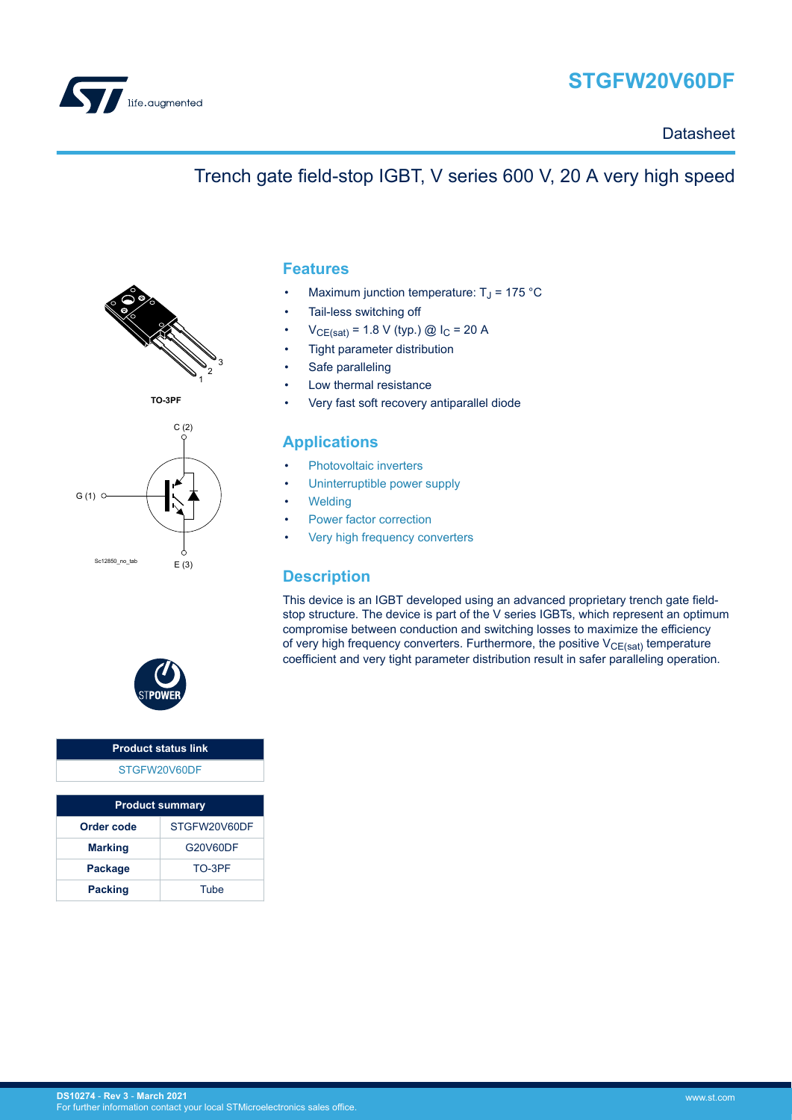<span id="page-0-0"></span>

# **STGFW20V60DF**

**Datasheet** 

## Trench gate field-stop IGBT, V series 600 V, 20 A very high speed



**TO-3PF**



### **Features**

- Maximum junction temperature:  $T_J$  = 175 °C
- Tail-less switching off
- $V_{CE(sat)} = 1.8 V$  (typ.) @  $I_C = 20 A$
- Tight parameter distribution
- Safe paralleling
- Low thermal resistance
- Very fast soft recovery antiparallel diode

### **Applications**

- [Photovoltaic inverters](https://www.st.com/en/applications/energy-generation-and-distribution/solar-inverters-string-and-central.html?ecmp=tt9471_gl_link_feb2019&rt=ds&id=DS10274)
- [Uninterruptible power supply](https://www.st.com/en/applications/power-supplies-and-converters/uninterruptable-power-supplies-ups.html?ecmp=tt9471_gl_link_feb2019&rt=ds&id=DS10274)
- **[Welding](https://www.st.com/en/applications/industrial-power-and-tools/welding.html?ecmp=tt9471_gl_link_feb2019&rt=ds&id=DS10274)**
- [Power factor correction](https://www.st.com/en/applications/power-supplies-and-converters/pfc-converter-single-phase-input.html?ecmp=tt9471_gl_link_feb2019&rt=ds&id=DS10274)
- [Very high frequency converters](https://www.st.com/en/applications/power-supplies-and-converters/ac-dc-converters.html?ecmp=tt9471_gl_link_feb2019&rt=ds&id=DS10274)

### **Description**

This device is an IGBT developed using an advanced proprietary trench gate fieldstop structure. The device is part of the V series IGBTs, which represent an optimum compromise between conduction and switching losses to maximize the efficiency of very high frequency converters. Furthermore, the positive  $V_{CE(sat)}$  temperature coefficient and very tight parameter distribution result in safer paralleling operation.



#### **Product status link** [STGFW20V60DF](https://www.st.com/en/product/STGFW20V60DF?ecmp=tt9470_gl_link_feb2019&rt=ds&id=DS10274)

| <b>Product summary</b> |              |  |  |  |
|------------------------|--------------|--|--|--|
| Order code             | STGFW20V60DF |  |  |  |
| <b>Marking</b>         | G20V60DF     |  |  |  |
| Package                | TO-3PF       |  |  |  |
| <b>Packing</b>         | Tube         |  |  |  |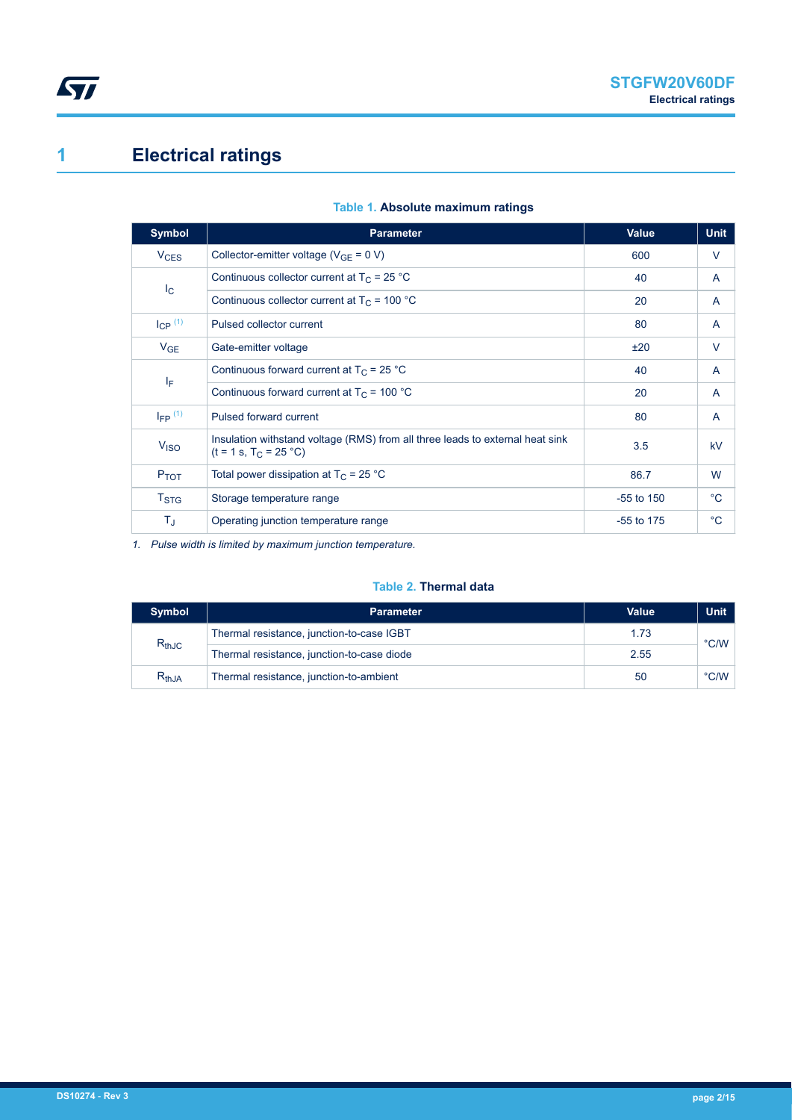# <span id="page-1-0"></span>**1 Electrical ratings**

| <b>Symbol</b>           | <b>Parameter</b>                                                                                          | <b>Value</b> | <b>Unit</b>  |
|-------------------------|-----------------------------------------------------------------------------------------------------------|--------------|--------------|
| $V_{CES}$               | Collector-emitter voltage ( $V_{GF} = 0 V$ )                                                              | 600          | V            |
| $I_{\rm C}$             | Continuous collector current at $T_c$ = 25 °C                                                             | 40           | A            |
|                         | Continuous collector current at $T_c$ = 100 °C                                                            | 20           | A            |
| $I_{CP}$ <sup>(1)</sup> | Pulsed collector current                                                                                  | 80           | A            |
| $V_{GE}$                | Gate-emitter voltage                                                                                      | ±20          | V            |
| ΙF                      | Continuous forward current at $T_C = 25$ °C                                                               | 40           | A            |
|                         | Continuous forward current at $T_c$ = 100 °C                                                              | 20           | A            |
| $I_{FP}$ (1)            | Pulsed forward current                                                                                    | 80           | A            |
| V <sub>ISO</sub>        | Insulation withstand voltage (RMS) from all three leads to external heat sink<br>$(t = 1 s, T_C = 25 °C)$ | 3.5          | kV           |
| P <sub>TOT</sub>        | Total power dissipation at $T_C = 25 °C$                                                                  | 86.7         | W            |
| $T_{\mathrm{STG}}$      | Storage temperature range                                                                                 | $-55$ to 150 | $^{\circ}$ C |
| TJ.                     | Operating junction temperature range                                                                      | $-55$ to 175 | $^{\circ}$ C |

#### **Table 1. Absolute maximum ratings**

*1. Pulse width is limited by maximum junction temperature.*

#### **Table 2. Thermal data**

| <b>Symbol</b> | <b>Parameter</b>                           | Value | <b>Unit</b>   |  |
|---------------|--------------------------------------------|-------|---------------|--|
| $R_{thJC}$    | Thermal resistance, junction-to-case IGBT  | 1.73  | $\degree$ C/W |  |
|               | Thermal resistance, junction-to-case diode | 2.55  |               |  |
| $R_{thJA}$    | Thermal resistance, junction-to-ambient    | 50    | $\degree$ C/W |  |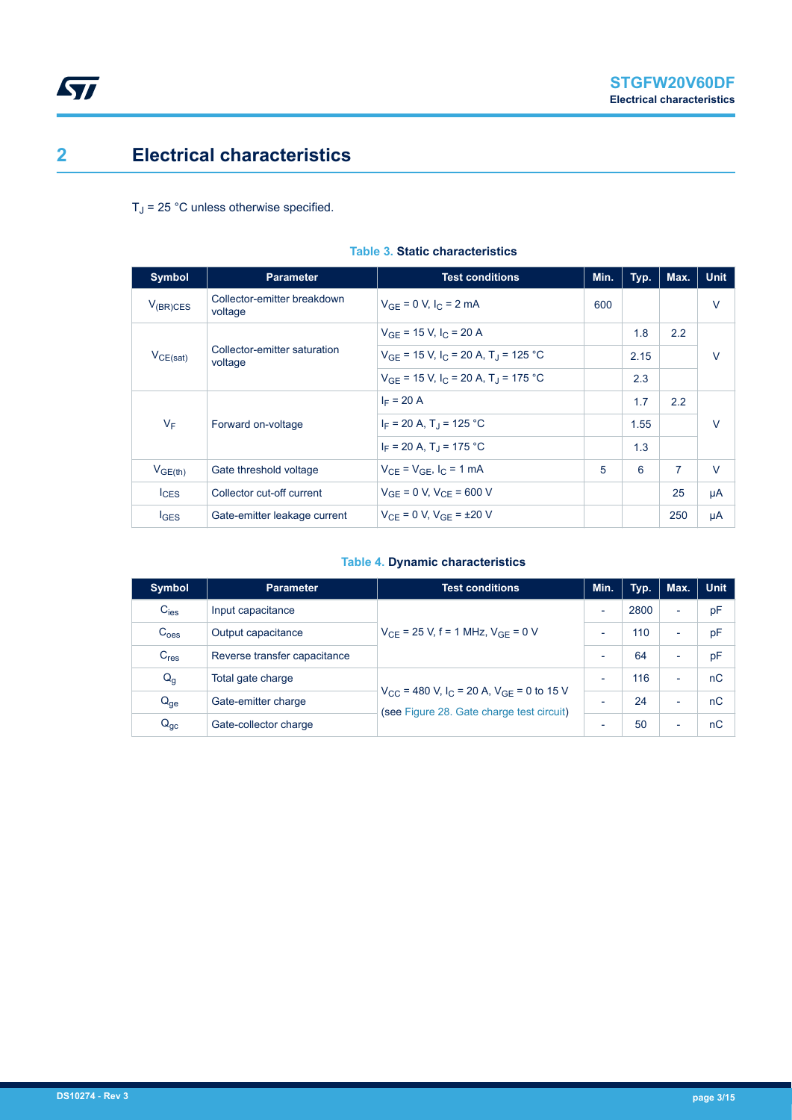## **2 Electrical characteristics**

<span id="page-2-0"></span> $\sqrt{2}$ 

 $T_J$  = 25 °C unless otherwise specified.

| <b>Symbol</b>    | <b>Parameter</b>                        | <b>Test conditions</b>                                          | Min. | Typ. | Max.           | <b>Unit</b> |
|------------------|-----------------------------------------|-----------------------------------------------------------------|------|------|----------------|-------------|
| $V_{(BR)CES}$    | Collector-emitter breakdown<br>voltage  | $V_{GE} = 0 V, I_C = 2 mA$                                      | 600  |      |                | $\vee$      |
|                  | Collector-emitter saturation<br>voltage | $V_{GF}$ = 15 V, I <sub>C</sub> = 20 A                          |      | 1.8  | 2.2            | $\vee$      |
| $V_{CE(sat)}$    |                                         | $V_{GF}$ = 15 V, I <sub>C</sub> = 20 A, T <sub>J</sub> = 125 °C |      | 2.15 |                |             |
|                  |                                         | $V_{GF}$ = 15 V, I <sub>C</sub> = 20 A, T <sub>J</sub> = 175 °C |      | 2.3  |                |             |
|                  | Forward on-voltage                      | $I_F = 20 A$                                                    |      | 1.7  | 2.2            |             |
| $V_F$            |                                         | $I_F = 20 A$ , T <sub>J</sub> = 125 °C                          |      | 1.55 |                | $\vee$      |
|                  |                                         | $I_F = 20 A$ , T <sub>1</sub> = 175 °C                          |      | 1.3  |                |             |
| $V_{GE(th)}$     | Gate threshold voltage                  | $V_{CF}$ = $V_{GF}$ , $I_C$ = 1 mA                              | 5    | 6    | $\overline{7}$ | $\vee$      |
| $I_{CES}$        | Collector cut-off current               | $V_{GE} = 0 V, V_{CE} = 600 V$                                  |      |      | 25             | μA          |
| $I_{\text{GES}}$ | Gate-emitter leakage current            | $V_{CF} = 0 V$ , $V_{GF} = \pm 20 V$                            |      |      | 250            | μA          |

#### **Table 3. Static characteristics**

#### **Table 4. Dynamic characteristics**

| <b>Symbol</b>    | <b>Parameter</b>                                                                                                                         | <b>Test conditions</b>                     | Min.                     | Typ.                     | Max.                     | <b>Unit</b> |
|------------------|------------------------------------------------------------------------------------------------------------------------------------------|--------------------------------------------|--------------------------|--------------------------|--------------------------|-------------|
| $C_{\text{ies}}$ | Input capacitance                                                                                                                        |                                            | $\overline{\phantom{0}}$ | 2800                     | $\overline{\phantom{a}}$ | pF          |
| C <sub>oes</sub> | Output capacitance                                                                                                                       | $V_{CF}$ = 25 V, f = 1 MHz, $V_{GF}$ = 0 V | $\overline{\phantom{0}}$ | 110                      | $\overline{\phantom{a}}$ | pF          |
| C <sub>res</sub> | Reverse transfer capacitance                                                                                                             |                                            |                          | 64                       | $\overline{\phantom{0}}$ | pF          |
| $Q_g$            | Total gate charge                                                                                                                        |                                            | $\overline{\phantom{0}}$ | 116                      | $\overline{\phantom{0}}$ | nC          |
| $Q_{ge}$         | $V_{CC}$ = 480 V, I <sub>C</sub> = 20 A, V <sub>GE</sub> = 0 to 15 V<br>Gate-emitter charge<br>(see Figure 28. Gate charge test circuit) | -                                          | 24                       | $\overline{\phantom{0}}$ | nC                       |             |
| $Q_{gc}$         | Gate-collector charge                                                                                                                    |                                            | $\overline{\phantom{0}}$ | 50                       | $\overline{\phantom{0}}$ | nC          |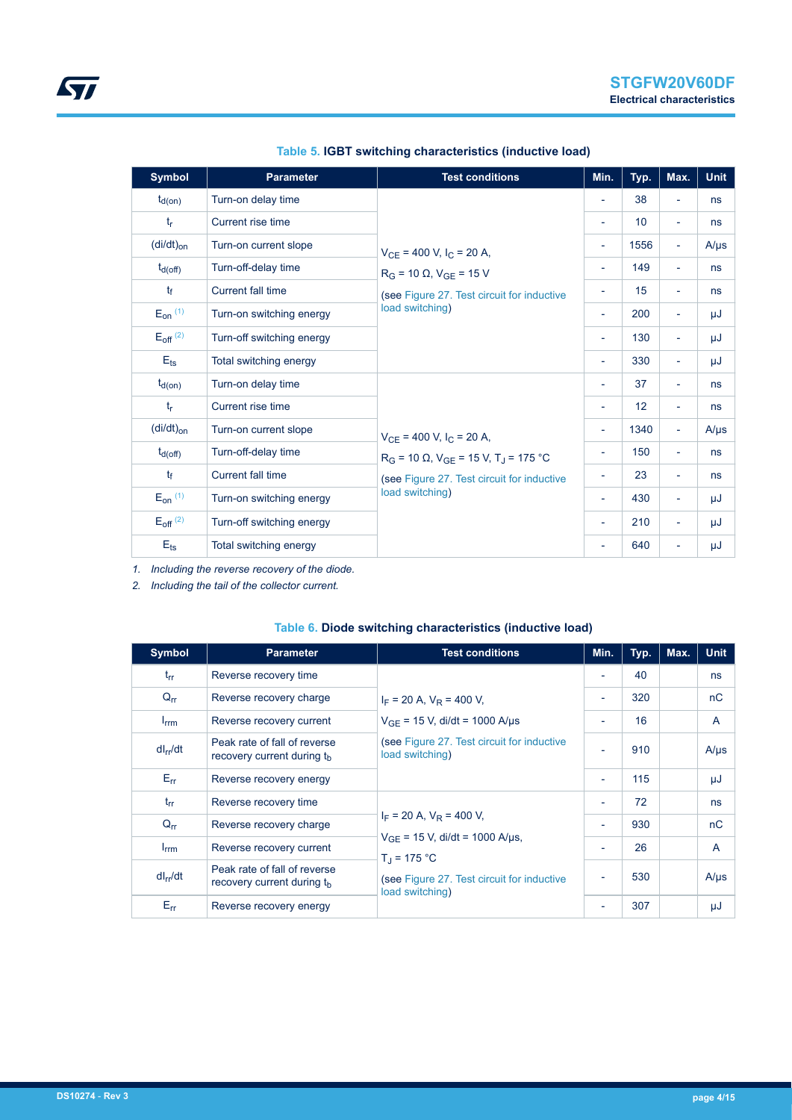| <b>Symbol</b>            | <b>Parameter</b>          | <b>Test conditions</b>                                 | Min.                     | Typ. | Max.                     | <b>Unit</b> |
|--------------------------|---------------------------|--------------------------------------------------------|--------------------------|------|--------------------------|-------------|
| $t_{d(on)}$              | Turn-on delay time        |                                                        | $\overline{\phantom{a}}$ | 38   | $\overline{\phantom{a}}$ | ns          |
| $t_{r}$                  | Current rise time         |                                                        | ٠                        | 10   | $\overline{\phantom{a}}$ | ns          |
| $(di/dt)_{on}$           | Turn-on current slope     | $V_{CE}$ = 400 V, $I_C$ = 20 A,                        | $\overline{\phantom{a}}$ | 1556 | $\overline{\phantom{a}}$ | $A/\mu s$   |
| $t_{d(off)}$             | Turn-off-delay time       | $R_G$ = 10 $\Omega$ , $V_{GE}$ = 15 V                  | ۰                        | 149  | $\overline{\phantom{a}}$ | ns          |
| $t_{\rm f}$              | <b>Current fall time</b>  | (see Figure 27. Test circuit for inductive             | ۰                        | 15   | $\overline{\phantom{a}}$ | ns          |
| $E_{on}$ (1)             | Turn-on switching energy  | load switching)                                        | $\overline{\phantom{a}}$ | 200  | $\overline{\phantom{a}}$ | μJ          |
| $E_{off}$ <sup>(2)</sup> | Turn-off switching energy |                                                        | $\overline{\phantom{a}}$ | 130  | $\overline{\phantom{a}}$ | μJ          |
| $E_{\text{ts}}$          | Total switching energy    |                                                        | $\overline{\phantom{a}}$ | 330  | $\overline{\phantom{a}}$ | μJ          |
| $t_{d(on)}$              | Turn-on delay time        |                                                        | $\overline{\phantom{0}}$ | 37   | $\overline{\phantom{0}}$ | ns          |
| $t_{\rm r}$              | Current rise time         |                                                        | $\overline{\phantom{a}}$ | 12   | $\overline{\phantom{a}}$ | ns          |
| $(di/dt)_{on}$           | Turn-on current slope     | $V_{CE}$ = 400 V, $I_C$ = 20 A,                        | Ξ.                       | 1340 | $\overline{\phantom{a}}$ | $A/\mu s$   |
| $t_{d(Off)}$             | Turn-off-delay time       | $R_G$ = 10 Ω, $V_{GE}$ = 15 V, T <sub>J</sub> = 175 °C | ۰                        | 150  | $\overline{\phantom{a}}$ | ns          |
| $t_{\rm f}$              | <b>Current fall time</b>  | (see Figure 27. Test circuit for inductive             | ۰                        | 23   | $\overline{\phantom{a}}$ | ns          |
| $E_{on}$ (1)             | Turn-on switching energy  | load switching)                                        | $\overline{\phantom{a}}$ | 430  | ÷,                       | μJ          |
| $E_{off}$ <sup>(2)</sup> | Turn-off switching energy |                                                        | $\overline{\phantom{a}}$ | 210  | $\overline{\phantom{a}}$ | μJ          |
| $E_{\text{ts}}$          | Total switching energy    |                                                        | -                        | 640  | ۰                        | μJ          |

#### **Table 5. IGBT switching characteristics (inductive load)**

*1. Including the reverse recovery of the diode.*

*2. Including the tail of the collector current.*

| <b>Symbol</b>    | <b>Parameter</b>                                                       | <b>Test conditions</b>                                                                                                              | Min.                     | Typ. | Max. | <b>Unit</b>  |
|------------------|------------------------------------------------------------------------|-------------------------------------------------------------------------------------------------------------------------------------|--------------------------|------|------|--------------|
| $t_{rr}$         | Reverse recovery time                                                  | $I_F$ = 20 A, $V_R$ = 400 V,<br>$V_{GF}$ = 15 V, di/dt = 1000 A/µs<br>(see Figure 27. Test circuit for inductive<br>load switching) | $\blacksquare$           | 40   |      | ns           |
| $Q_{rr}$         | Reverse recovery charge                                                |                                                                                                                                     | $\overline{\phantom{a}}$ | 320  |      | nC           |
| $I_{\text{rrm}}$ | Reverse recovery current                                               |                                                                                                                                     | $\overline{\phantom{a}}$ | 16   |      | $\mathsf{A}$ |
| $dl_{rr}/dt$     | Peak rate of fall of reverse<br>recovery current during the            |                                                                                                                                     | $\overline{\phantom{a}}$ | 910  |      | $A/\mu s$    |
| $E_{rr}$         | Reverse recovery energy                                                |                                                                                                                                     | $\overline{\phantom{a}}$ | 115  |      | μJ           |
| $t_{rr}$         | Reverse recovery time                                                  |                                                                                                                                     | $\blacksquare$           | 72   |      | ns           |
| $Q_{rr}$         | Reverse recovery charge                                                | $I_F$ = 20 A, $V_R$ = 400 V,                                                                                                        | $\overline{\phantom{a}}$ | 930  |      | nC           |
| $I_{\text{rrm}}$ | Reverse recovery current                                               | $V_{GF}$ = 15 V, di/dt = 1000 A/µs,<br>$T_1 = 175 °C$<br>(see Figure 27. Test circuit for inductive<br>load switching)              | $\overline{\phantom{a}}$ | 26   |      | A            |
| $dl_{rr}/dt$     | Peak rate of fall of reverse<br>recovery current during t <sub>h</sub> |                                                                                                                                     | $\overline{\phantom{a}}$ | 530  |      | $A/\mu s$    |
| $E_{rr}$         | Reverse recovery energy                                                |                                                                                                                                     |                          | 307  |      | μJ           |

#### **Table 6. Diode switching characteristics (inductive load)**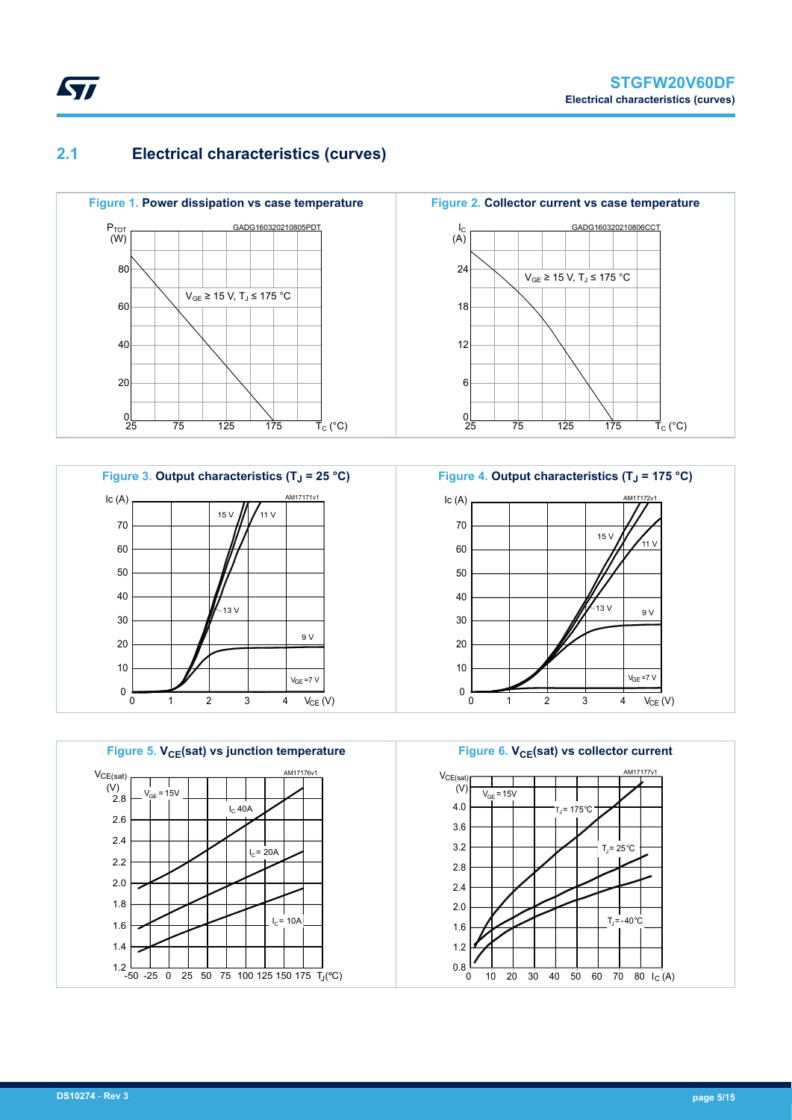### **2.1 Electrical characteristics (curves)**

<span id="page-4-0"></span>**STI** 







**Figure 2. Collector current vs case temperature**





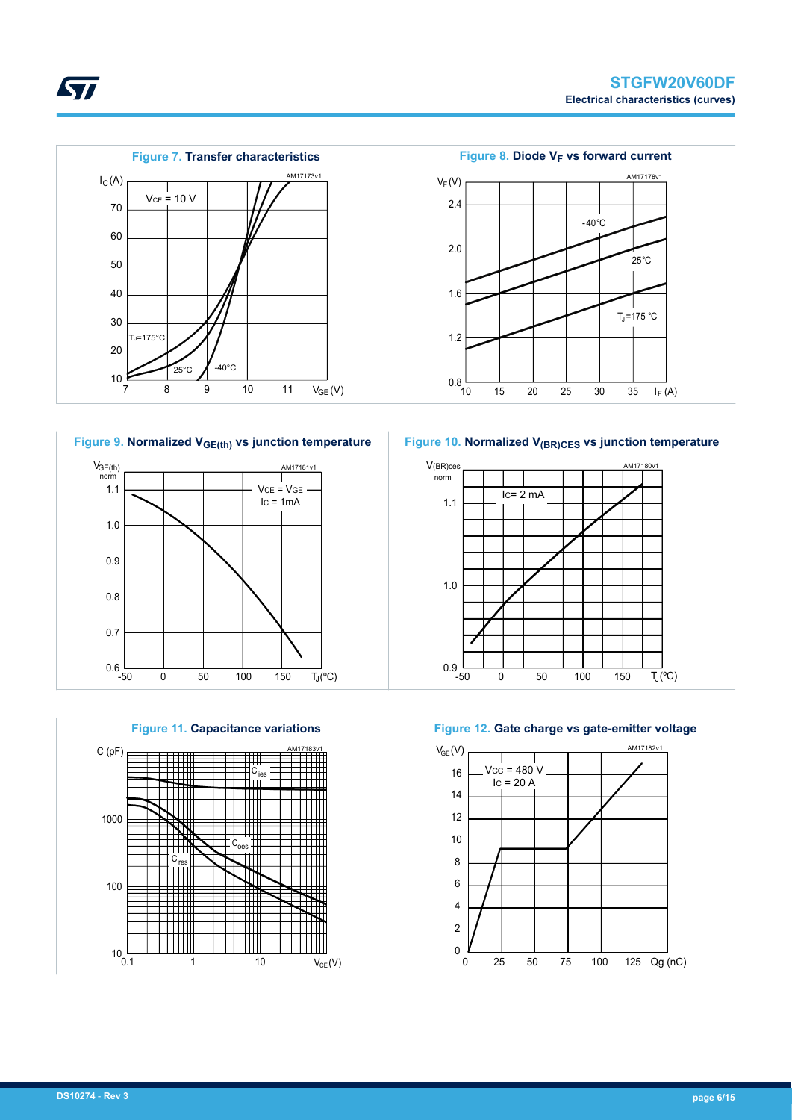AM17180v1

 $\overline{T_{J}}(^{\circ}C)$ 











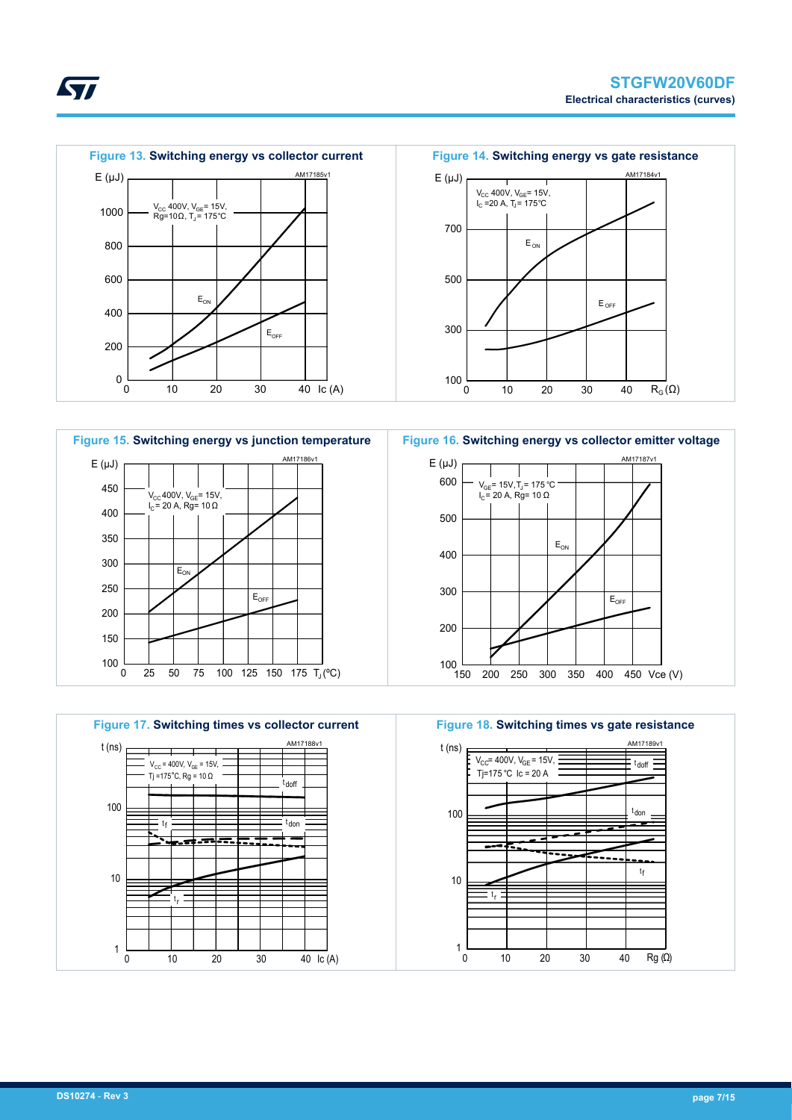



**Figure 15. Switching energy vs junction temperature** AM17 100 L<br>0 150 200 250 300 350 400 450  $E(\mu J)$  $E_{\text{Or}}$  $E_{\text{OH}}$  $\rm V_{\rm CC}$ 400V, V $\rm_{\rm GE}$ = 15V, I<sub>C</sub>= 20 A, Rg= 10 Ω

0 25 50 75 100 125 150 175 T<sup>J</sup> (ºC)



**Figure 16. Switching energy vs collector emitter voltage**





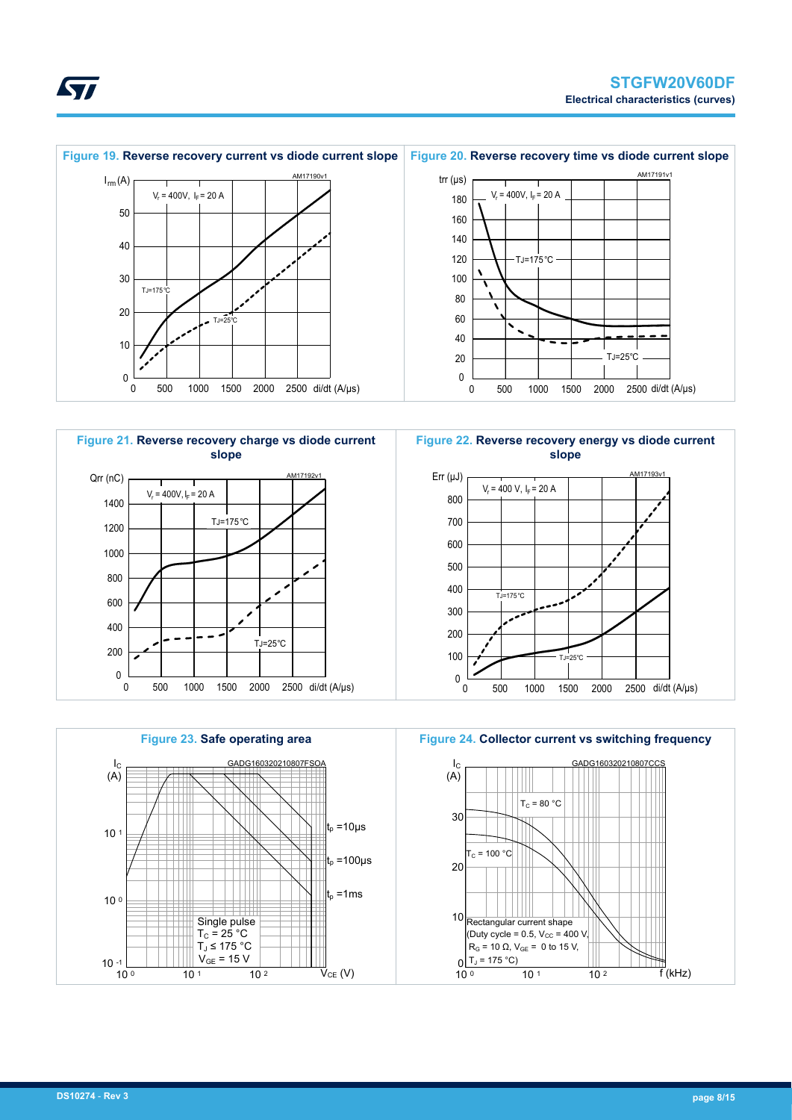<span id="page-7-0"></span>







**Figure 24. Collector current vs switching frequency**

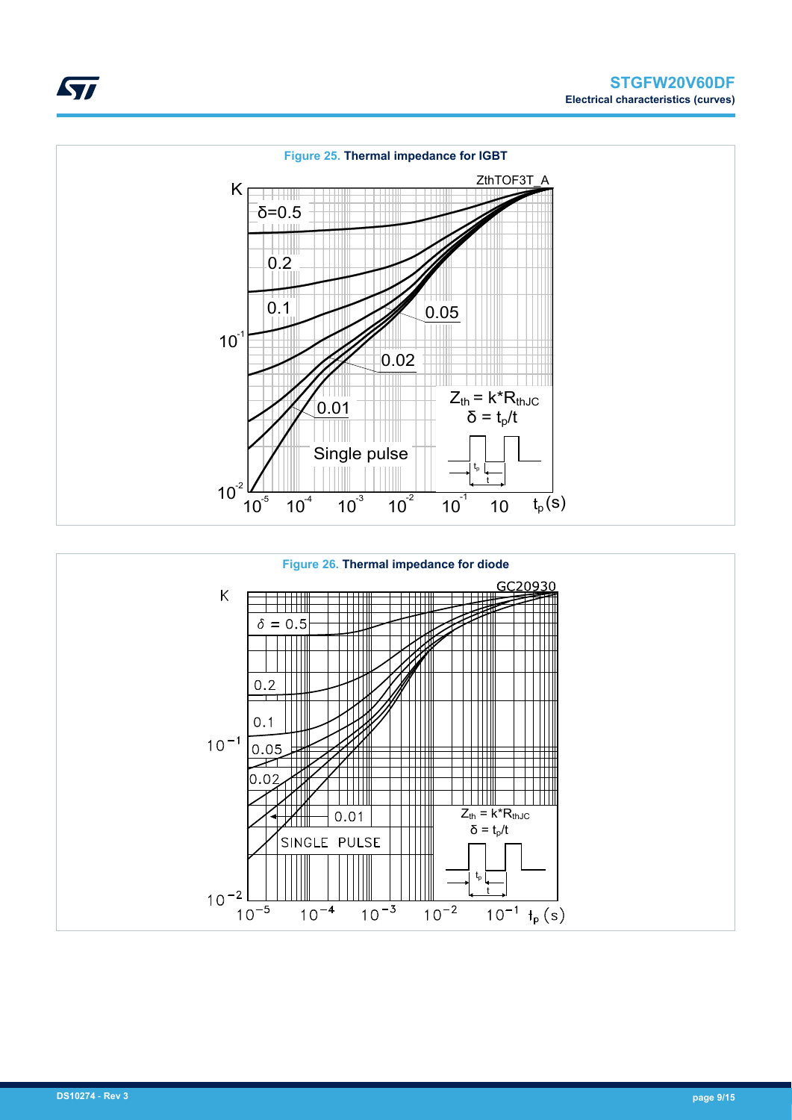



ST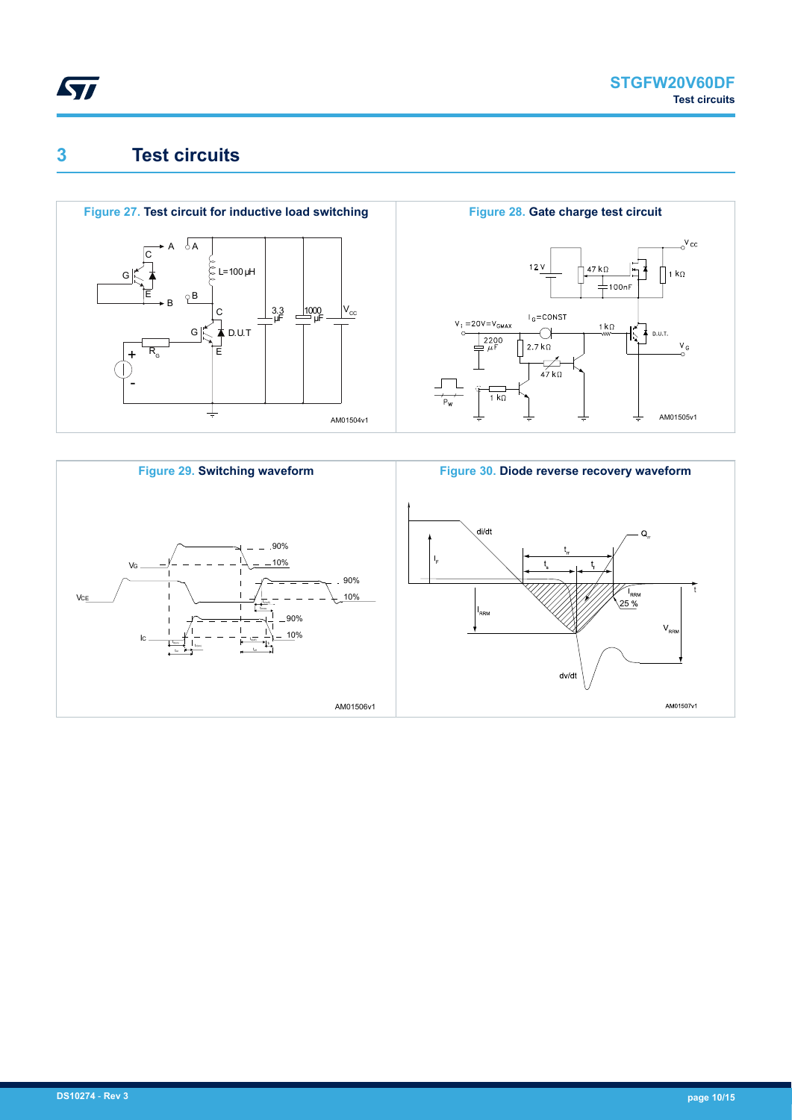<span id="page-9-0"></span>

### **3 Test circuits**





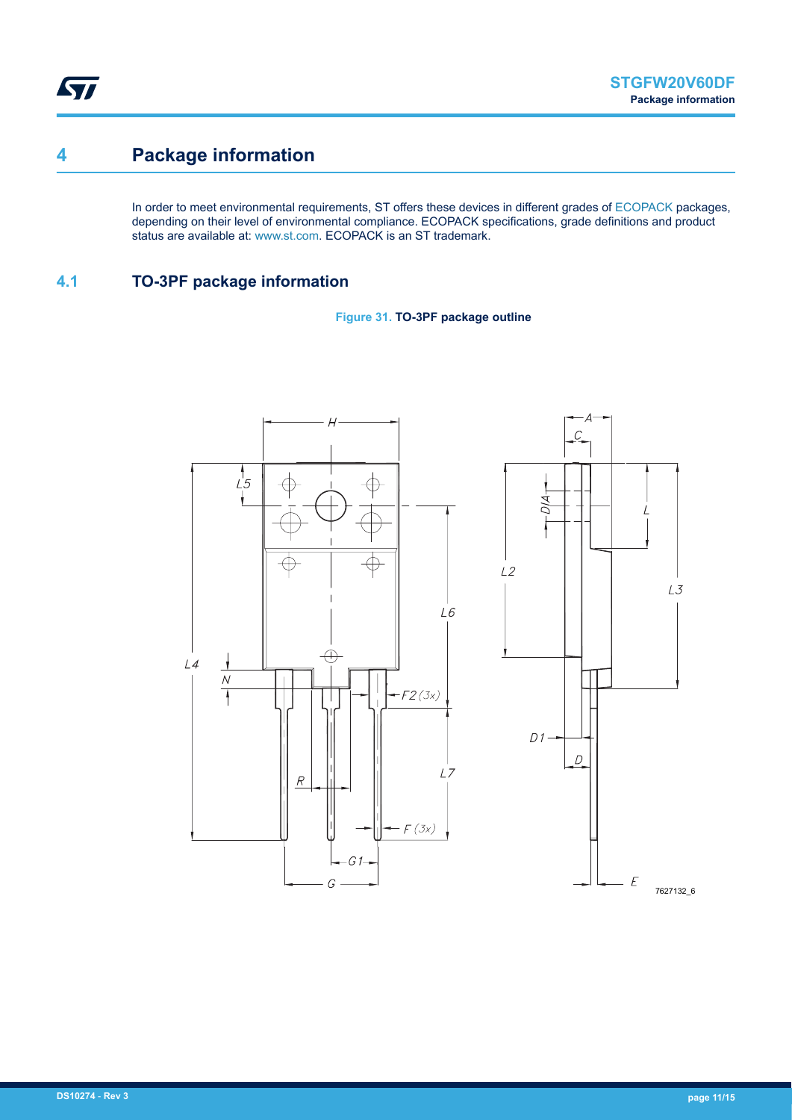<span id="page-10-0"></span>ST

### **4 Package information**

In order to meet environmental requirements, ST offers these devices in different grades of [ECOPACK](https://www.st.com/ecopack) packages, depending on their level of environmental compliance. ECOPACK specifications, grade definitions and product status are available at: [www.st.com.](http://www.st.com) ECOPACK is an ST trademark.

### **4.1 TO-3PF package information**



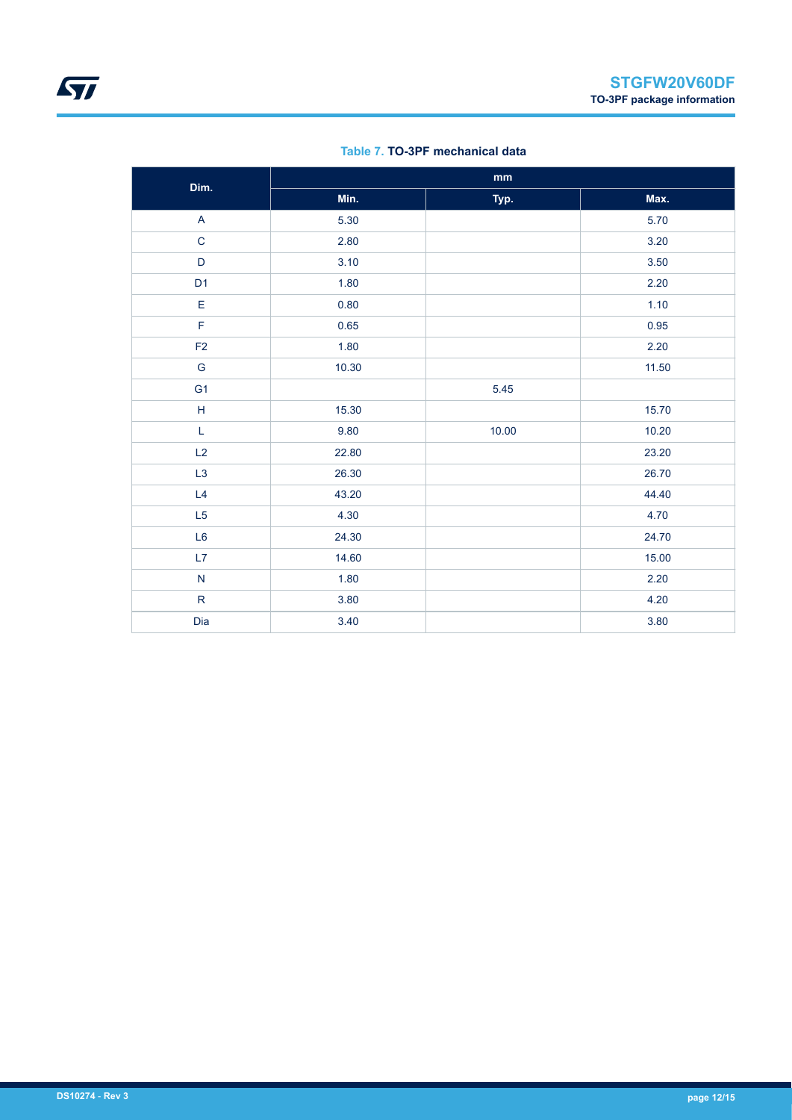| Dim.                      | $\mathop{\text{mm}}\nolimits$ |       |       |
|---------------------------|-------------------------------|-------|-------|
|                           | Min.                          | Typ.  | Max.  |
| $\boldsymbol{\mathsf{A}}$ | 5.30                          |       | 5.70  |
| $\mathsf{C}$              | 2.80                          |       | 3.20  |
| $\mathsf D$               | 3.10                          |       | 3.50  |
| D <sub>1</sub>            | 1.80                          |       | 2.20  |
| E                         | 0.80                          |       | 1.10  |
| F                         | 0.65                          |       | 0.95  |
| F <sub>2</sub>            | 1.80                          |       | 2.20  |
| ${\mathsf G}$             | 10.30                         |       | 11.50 |
| G <sub>1</sub>            |                               | 5.45  |       |
| $\mathsf H$               | 15.30                         |       | 15.70 |
| $\mathsf L$               | 9.80                          | 10.00 | 10.20 |
| L2                        | 22.80                         |       | 23.20 |
| L3                        | 26.30                         |       | 26.70 |
| L4                        | 43.20                         |       | 44.40 |
| L5                        | 4.30                          |       | 4.70  |
| L <sub>6</sub>            | 24.30                         |       | 24.70 |
| L7                        | 14.60                         |       | 15.00 |
| ${\sf N}$                 | 1.80                          |       | 2.20  |
| ${\sf R}$                 | 3.80                          |       | 4.20  |
| Dia                       | 3.40                          |       | 3.80  |

#### **Table 7. TO-3PF mechanical data**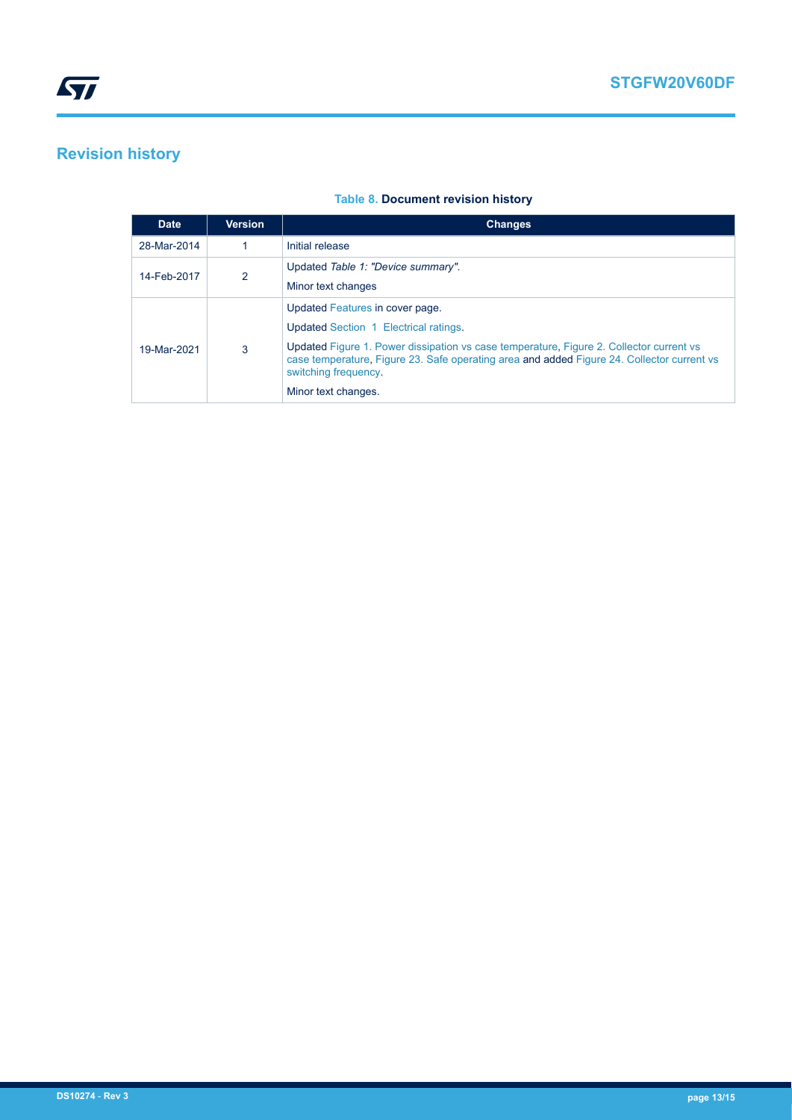# <span id="page-12-0"></span>**Revision history**

#### **Table 8. Document revision history**

| <b>Date</b> | <b>Version</b> | <b>Changes</b>                                                                                                                                                                                                                                                                                                   |
|-------------|----------------|------------------------------------------------------------------------------------------------------------------------------------------------------------------------------------------------------------------------------------------------------------------------------------------------------------------|
| 28-Mar-2014 |                | Initial release                                                                                                                                                                                                                                                                                                  |
| 14-Feb-2017 | $\overline{2}$ | Updated Table 1: "Device summary".<br>Minor text changes                                                                                                                                                                                                                                                         |
| 19-Mar-2021 | 3              | Updated Features in cover page.<br>Updated Section 1 Electrical ratings.<br>Updated Figure 1. Power dissipation vs case temperature, Figure 2. Collector current vs<br>case temperature, Figure 23. Safe operating area and added Figure 24. Collector current vs<br>switching frequency.<br>Minor text changes. |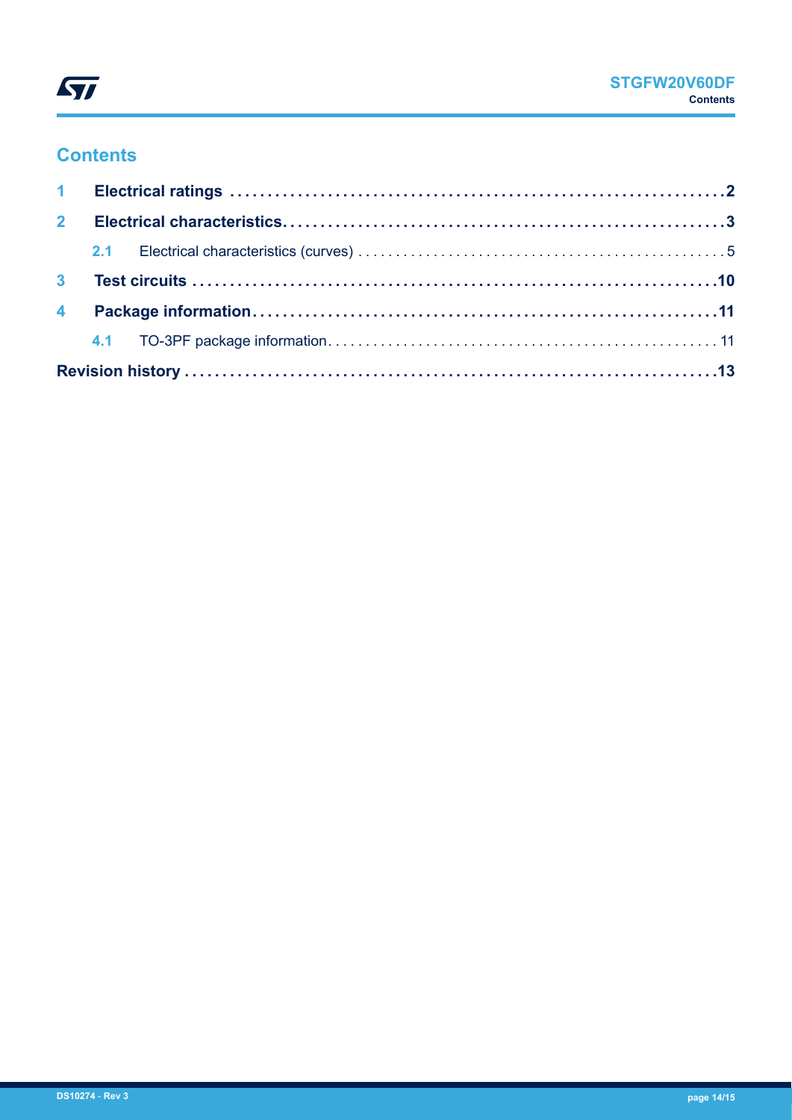

### **Contents**

| 2 <sup>7</sup> |  |  |  |  |  |  |  |
|----------------|--|--|--|--|--|--|--|
|                |  |  |  |  |  |  |  |
|                |  |  |  |  |  |  |  |
|                |  |  |  |  |  |  |  |
|                |  |  |  |  |  |  |  |
|                |  |  |  |  |  |  |  |